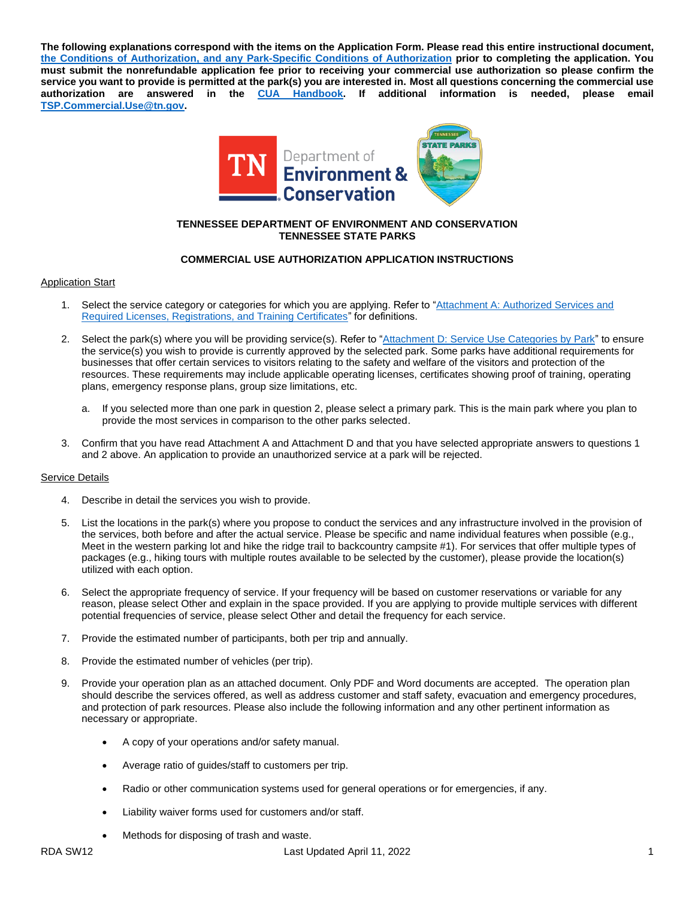**The following explanations correspond with the items on the Application Form. Please read this entire instructional document, the Conditions of Authorization, [and any Park-Specific Conditions of Authorization](https://www.tn.gov/environment/about-tdec/vendor-opportunities.html) prior to completing the application. You must submit the nonrefundable application fee prior to receiving your commercial use authorization so please confirm the service you want to provide is permitted at the park(s) you are interested in. Most all questions concerning the commercial use authorization are answered in the [CUA Handbook.](https://www.tn.gov/environment/parks-conservation/vendor-opportunities.html) If additional information is needed, please email [TSP.Commercial.Use@tn.gov.](mailto:TSP.Commercial.Use@tn.gov?subject=Commercial%20Use%20Authorization)**



### **TENNESSEE DEPARTMENT OF ENVIRONMENT AND CONSERVATION TENNESSEE STATE PARKS**

# **COMMERCIAL USE AUTHORIZATION APPLICATION INSTRUCTIONS**

## Application Start

- Select the service category or categories for which you are applying. Refer to "Attachment A: Authorized Services and [Required Licenses, Registrations, and Training Certificates"](https://drive.google.com/file/d/1hOFpk8Ex00gyXfZQFuiYA-rk9gIiu5Do/view?usp=sharing) for definitions.
- 2. Select the park(s) where you will be providing service(s). Refer to ["Attachment D: Service Use Categories by Park"](https://drive.google.com/file/d/1z7V1szIW1Euan-oTu5084WWpwHkxdsTb/view?usp=sharing) to ensure the service(s) you wish to provide is currently approved by the selected park. Some parks have additional requirements for businesses that offer certain services to visitors relating to the safety and welfare of the visitors and protection of the resources. These requirements may include applicable operating licenses, certificates showing proof of training, operating plans, emergency response plans, group size limitations, etc.
	- a. If you selected more than one park in question 2, please select a primary park. This is the main park where you plan to provide the most services in comparison to the other parks selected.
- 3. Confirm that you have read Attachment A and Attachment D and that you have selected appropriate answers to questions 1 and 2 above. An application to provide an unauthorized service at a park will be rejected.

# Service Details

- 4. Describe in detail the services you wish to provide.
- 5. List the locations in the park(s) where you propose to conduct the services and any infrastructure involved in the provision of the services, both before and after the actual service. Please be specific and name individual features when possible (e.g., Meet in the western parking lot and hike the ridge trail to backcountry campsite #1). For services that offer multiple types of packages (e.g., hiking tours with multiple routes available to be selected by the customer), please provide the location(s) utilized with each option.
- 6. Select the appropriate frequency of service. If your frequency will be based on customer reservations or variable for any reason, please select Other and explain in the space provided. If you are applying to provide multiple services with different potential frequencies of service, please select Other and detail the frequency for each service.
- 7. Provide the estimated number of participants, both per trip and annually.
- 8. Provide the estimated number of vehicles (per trip).
- 9. Provide your operation plan as an attached document. Only PDF and Word documents are accepted. The operation plan should describe the services offered, as well as address customer and staff safety, evacuation and emergency procedures, and protection of park resources. Please also include the following information and any other pertinent information as necessary or appropriate.
	- A copy of your operations and/or safety manual.
	- Average ratio of guides/staff to customers per trip.
	- Radio or other communication systems used for general operations or for emergencies, if any.
	- Liability waiver forms used for customers and/or staff.
	- Methods for disposing of trash and waste.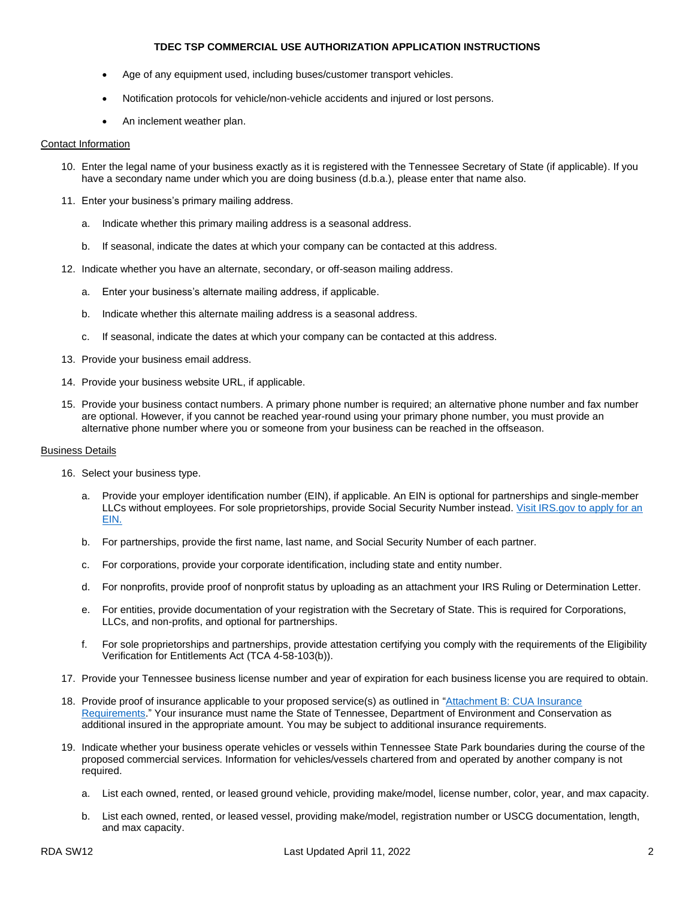#### **TDEC TSP COMMERCIAL USE AUTHORIZATION APPLICATION INSTRUCTIONS**

- Age of any equipment used, including buses/customer transport vehicles.
- Notification protocols for vehicle/non-vehicle accidents and injured or lost persons.
- An inclement weather plan.

#### Contact Information

- 10. Enter the legal name of your business exactly as it is registered with the Tennessee Secretary of State (if applicable). If you have a secondary name under which you are doing business (d.b.a.), please enter that name also.
- 11. Enter your business's primary mailing address.
	- a. Indicate whether this primary mailing address is a seasonal address.
	- b. If seasonal, indicate the dates at which your company can be contacted at this address.
- 12. Indicate whether you have an alternate, secondary, or off-season mailing address.
	- a. Enter your business's alternate mailing address, if applicable.
	- b. Indicate whether this alternate mailing address is a seasonal address.
	- c. If seasonal, indicate the dates at which your company can be contacted at this address.
- 13. Provide your business email address.
- 14. Provide your business website URL, if applicable.
- 15. Provide your business contact numbers. A primary phone number is required; an alternative phone number and fax number are optional. However, if you cannot be reached year-round using your primary phone number, you must provide an alternative phone number where you or someone from your business can be reached in the offseason.

### Business Details

- 16. Select your business type.
	- a. Provide your employer identification number (EIN), if applicable. An EIN is optional for partnerships and single-member LLCs without employees. For sole proprietorships, provide Social Security Number instead. [Visit IRS.gov to apply for an](https://www.irs.gov/businesses/small-businesses-self-employed/how-to-apply-for-an-ein)  [EIN.](https://www.irs.gov/businesses/small-businesses-self-employed/how-to-apply-for-an-ein)
	- b. For partnerships, provide the first name, last name, and Social Security Number of each partner.
	- c. For corporations, provide your corporate identification, including state and entity number.
	- d. For nonprofits, provide proof of nonprofit status by uploading as an attachment your IRS Ruling or Determination Letter.
	- e. For entities, provide documentation of your registration with the Secretary of State. This is required for Corporations, LLCs, and non-profits, and optional for partnerships.
	- f. For sole proprietorships and partnerships, provide attestation certifying you comply with the requirements of the Eligibility Verification for Entitlements Act (TCA 4-58-103(b)).
- 17. Provide your Tennessee business license number and year of expiration for each business license you are required to obtain.
- 18. Provide proof of insurance applicable to your proposed service(s) as outlined in ["Attachment B: CUA Insurance](https://drive.google.com/file/d/16C939X4uGtGXdqtT0dN91etDJuHQRvue/view?usp=sharing)  [Requirements.](https://drive.google.com/file/d/16C939X4uGtGXdqtT0dN91etDJuHQRvue/view?usp=sharing)" Your insurance must name the State of Tennessee, Department of Environment and Conservation as additional insured in the appropriate amount. You may be subject to additional insurance requirements.
- 19. Indicate whether your business operate vehicles or vessels within Tennessee State Park boundaries during the course of the proposed commercial services. Information for vehicles/vessels chartered from and operated by another company is not required.
	- a. List each owned, rented, or leased ground vehicle, providing make/model, license number, color, year, and max capacity.
	- b. List each owned, rented, or leased vessel, providing make/model, registration number or USCG documentation, length, and max capacity.